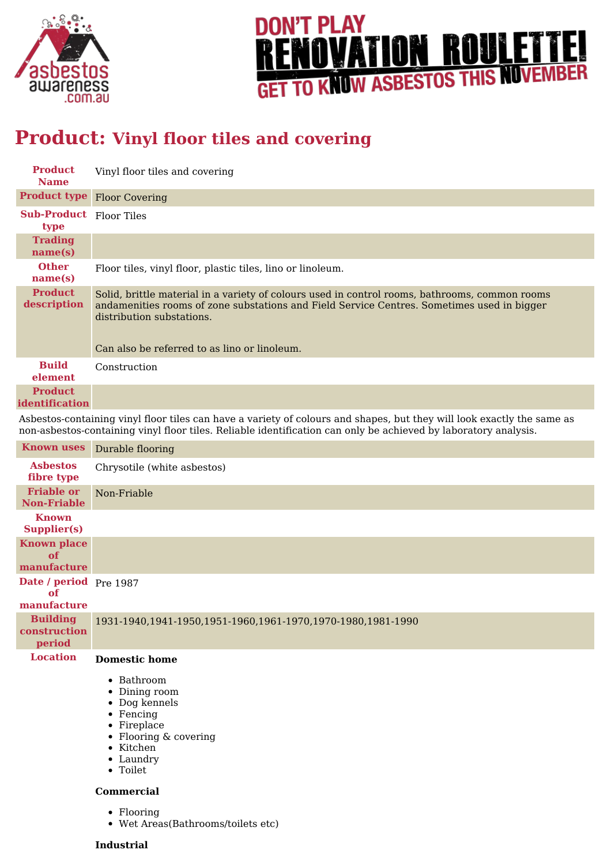



# **Product: Vinyl floor tiles and covering**

| <b>Product</b><br><b>Name</b>          | Vinyl floor tiles and covering                                                                                                                                                                                                                                            |
|----------------------------------------|---------------------------------------------------------------------------------------------------------------------------------------------------------------------------------------------------------------------------------------------------------------------------|
| <b>Product type</b>                    | <b>Floor Covering</b>                                                                                                                                                                                                                                                     |
| <b>Sub-Product</b> Floor Tiles<br>type |                                                                                                                                                                                                                                                                           |
| <b>Trading</b><br>name(s)              |                                                                                                                                                                                                                                                                           |
| <b>Other</b><br>name(s)                | Floor tiles, vinyl floor, plastic tiles, lino or linoleum.                                                                                                                                                                                                                |
| <b>Product</b><br>description          | Solid, brittle material in a variety of colours used in control rooms, bathrooms, common rooms<br>andamenities rooms of zone substations and Field Service Centres. Sometimes used in bigger<br>distribution substations.<br>Can also be referred to as lino or linoleum. |
| <b>Build</b><br>element                | Construction                                                                                                                                                                                                                                                              |
| <b>Product</b><br>identification       |                                                                                                                                                                                                                                                                           |

Asbestos-containing vinyl floor tiles can have a variety of colours and shapes, but they will look exactly the same as non-asbestos-containing vinyl floor tiles. Reliable identification can only be achieved by laboratory analysis.

| <b>Known uses</b>                           | Durable flooring                                                          |
|---------------------------------------------|---------------------------------------------------------------------------|
| <b>Asbestos</b><br>fibre type               | Chrysotile (white asbestos)                                               |
| <b>Friable or</b><br><b>Non-Friable</b>     | Non-Friable                                                               |
| <b>Known</b><br><b>Supplier(s)</b>          |                                                                           |
| <b>Known place</b><br>of<br>manufacture     |                                                                           |
| Date / period Pre 1987<br>of<br>manufacture |                                                                           |
| <b>Building</b><br>construction<br>period   | 1931-1940,1941-1950,1951-1960,1961-1970,1970-1980,1981-1990               |
| <b>Location</b>                             | <b>Domestic home</b>                                                      |
|                                             | $\bullet$ Bathroom<br>• Dining room<br>• Dog kennels<br>$\bullet$ Fencing |

- 
- Fireplace
- Flooring & covering
- Kitchen
- Laundry Toilet
- 

#### **Commercial**

- Flooring
- Wet Areas(Bathrooms/toilets etc)

#### **Industrial**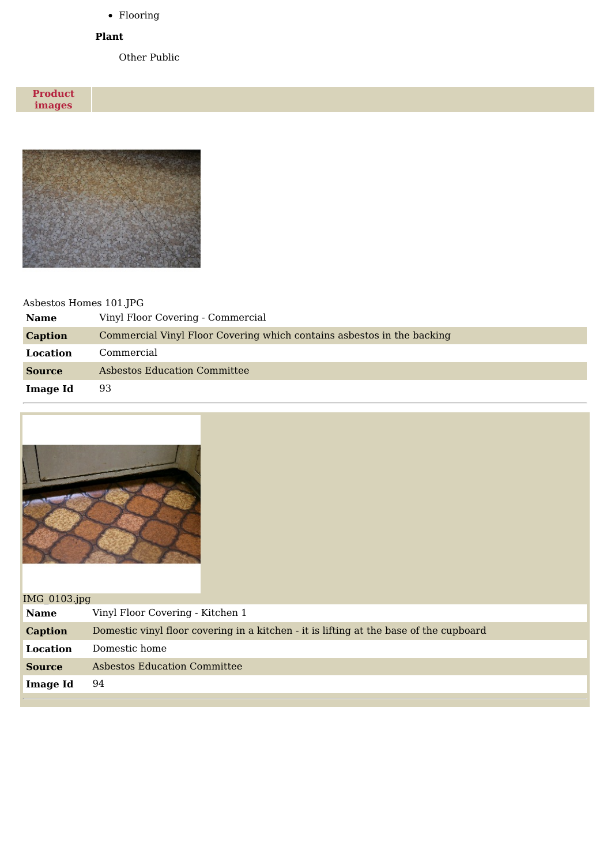Flooring

#### **Plant**

Other Public

**Product images**



## Asbestos Homes 101.JPG

| <b>Name</b>     | Vinyl Floor Covering - Commercial                                      |  |
|-----------------|------------------------------------------------------------------------|--|
| <b>Caption</b>  | Commercial Vinyl Floor Covering which contains asbestos in the backing |  |
| Location        | Commercial                                                             |  |
| <b>Source</b>   | Asbestos Education Committee                                           |  |
| <b>Image Id</b> | 93                                                                     |  |



| IMG $0103$ .jpg |                                                                                        |  |
|-----------------|----------------------------------------------------------------------------------------|--|
| <b>Name</b>     | Vinyl Floor Covering - Kitchen 1                                                       |  |
| Caption         | Domestic vinyl floor covering in a kitchen - it is lifting at the base of the cupboard |  |
| Location        | Domestic home                                                                          |  |
| <b>Source</b>   | Asbestos Education Committee                                                           |  |
| Image Id        | 94                                                                                     |  |
|                 |                                                                                        |  |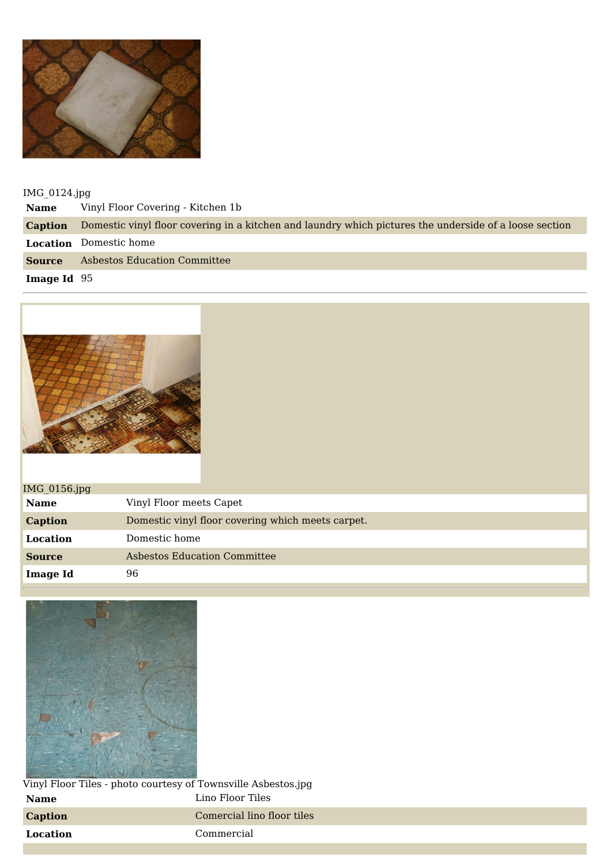

IMG\_0124.jpg

**Name** Vinyl Floor Covering - Kitchen 1b **Caption** Domestic vinyl floor covering in a kitchen and laundry which pictures the underside of a loose section **Location** Domestic home **Source** Asbestos Education Committee **Image Id** 95



| IMG_0156.jpg    |                                                   |
|-----------------|---------------------------------------------------|
| <b>Name</b>     | Vinyl Floor meets Capet                           |
| Caption         | Domestic vinyl floor covering which meets carpet. |
| Location        | Domestic home                                     |
| <b>Source</b>   | <b>Asbestos Education Committee</b>               |
| <b>Image Id</b> | 96                                                |



Vinyl Floor Tiles - photo courtesy of Townsville Asbestos.jpg **Name** Lino Floor Tiles **Caption** Comercial lino floor tiles **Location** Commercial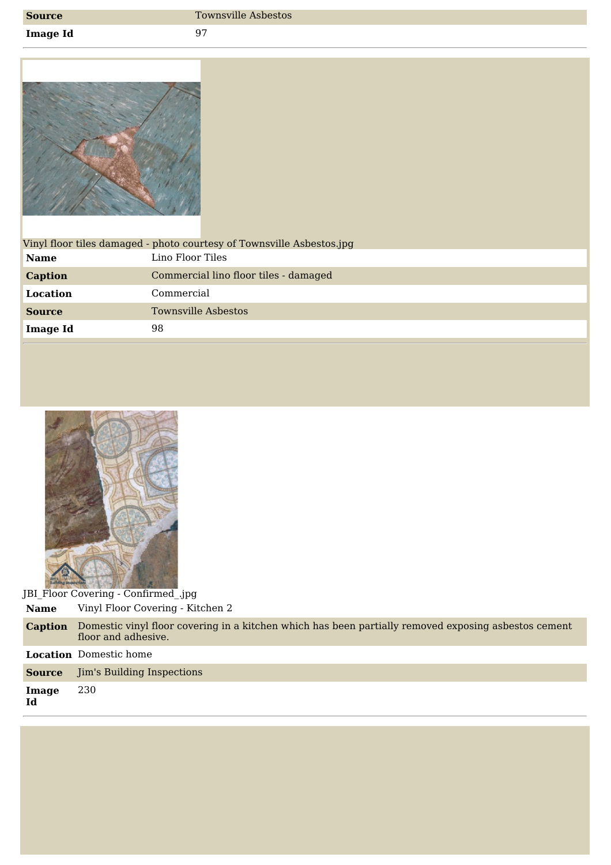| <b>Source</b> |
|---------------|
|---------------|

**Image Id** 97



|                | Vinyl floor tiles damaged - photo courtesy of Townsville Asbestos.jpg |
|----------------|-----------------------------------------------------------------------|
| <b>Name</b>    | Lino Floor Tiles                                                      |
| <b>Caption</b> | Commercial lino floor tiles - damaged                                 |
| Location       | Commercial                                                            |
| <b>Source</b>  | <b>Townsville Asbestos</b>                                            |
| Image Id       | 98                                                                    |
|                |                                                                       |
|                |                                                                       |



JBI\_Floor Covering - Confirmed\_.jpg **Name** Vinyl Floor Covering - Kitchen 2

| <b>Caption</b> | Domestic vinyl floor covering in a kitchen which has been partially removed exposing asbestos cement<br>floor and adhesive. |
|----------------|-----------------------------------------------------------------------------------------------------------------------------|
|                | <b>Location</b> Domestic home                                                                                               |
| <b>Source</b>  | Jim's Building Inspections                                                                                                  |
| Image<br>Id    | 230                                                                                                                         |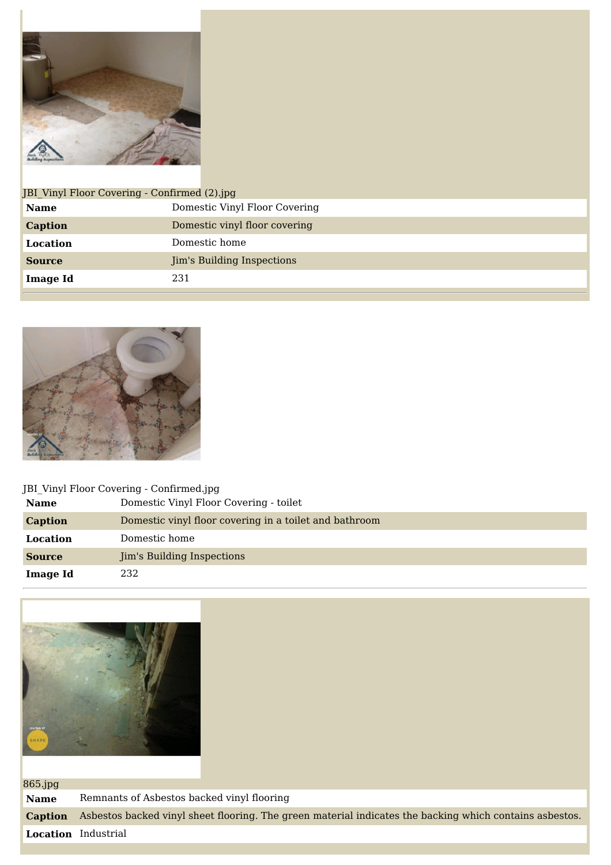

| JBI Vinyl Floor Covering - Confirmed (2).jpg |                                   |  |
|----------------------------------------------|-----------------------------------|--|
| <b>Name</b>                                  | Domestic Vinyl Floor Covering     |  |
| <b>Caption</b>                               | Domestic vinyl floor covering     |  |
| Location                                     | Domestic home                     |  |
| <b>Source</b>                                | <b>Jim's Building Inspections</b> |  |
| <b>Image Id</b>                              | 231                               |  |
|                                              |                                   |  |



## JBI\_Vinyl Floor Covering - Confirmed.jpg **Name** Domestic Vinyl Floor Covering - toilet **Caption** Domestic vinyl floor covering in a toilet and bathroom **Location** Domestic home **Source Jim's Building Inspections Image Id** 232



| $865$ .jpg     |                                                                                                         |  |
|----------------|---------------------------------------------------------------------------------------------------------|--|
| <b>Name</b>    | Remnants of Asbestos backed vinyl flooring                                                              |  |
| <b>Caption</b> | Asbestos backed vinyl sheet flooring. The green material indicates the backing which contains asbestos. |  |
|                | Location Industrial                                                                                     |  |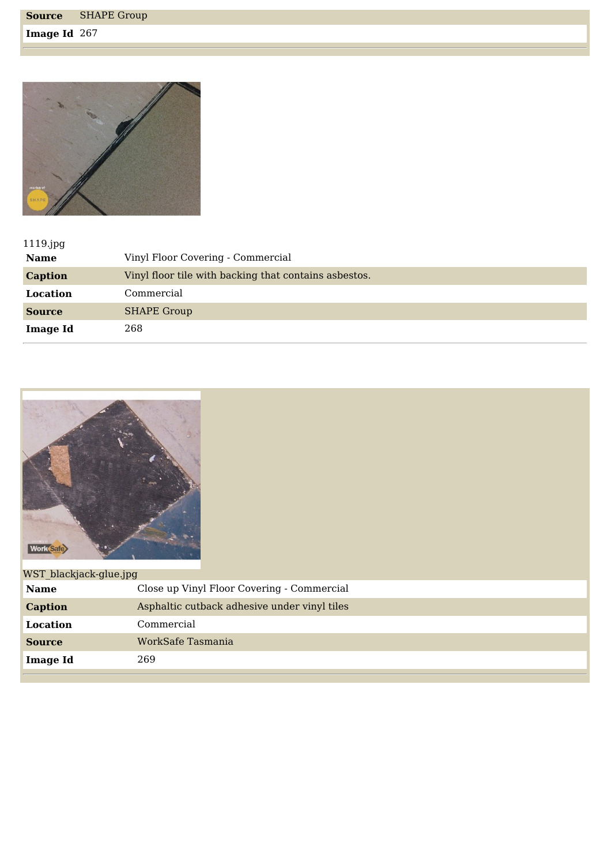**Image Id** 267



| $1119$ .jpg     |                                                       |
|-----------------|-------------------------------------------------------|
| <b>Name</b>     | Vinyl Floor Covering - Commercial                     |
| <b>Caption</b>  | Vinyl floor tile with backing that contains asbestos. |
| Location        | Commercial                                            |
| <b>Source</b>   | <b>SHAPE Group</b>                                    |
| <b>Image Id</b> | 268                                                   |



| WST blackjack-glue.jpg |                                              |
|------------------------|----------------------------------------------|
| <b>Name</b>            | Close up Vinyl Floor Covering - Commercial   |
| <b>Caption</b>         | Asphaltic cutback adhesive under vinyl tiles |
| Location               | Commercial                                   |
| <b>Source</b>          | WorkSafe Tasmania                            |
| <b>Image Id</b>        | 269                                          |
|                        |                                              |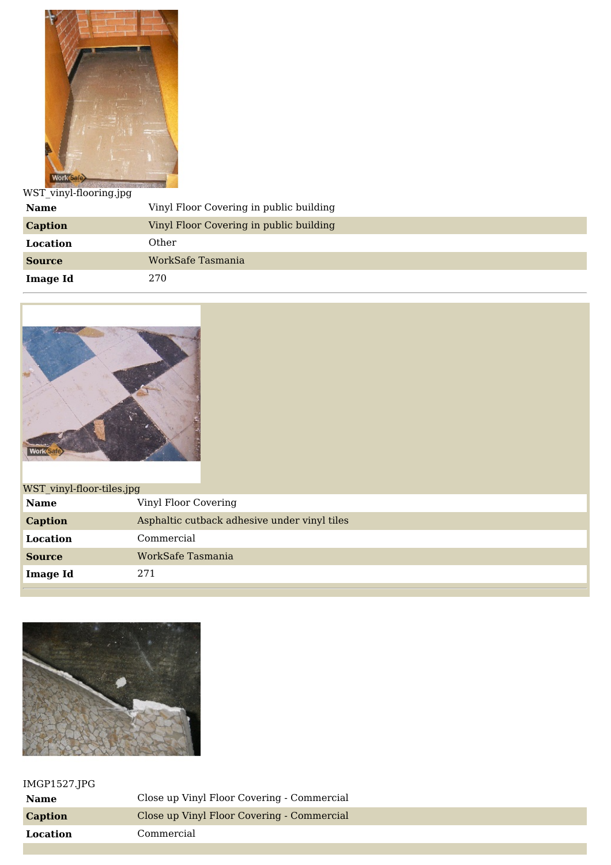

WST\_vinyl-flooring.jpg

| <b>Name</b>     | Vinyl Floor Covering in public building |  |
|-----------------|-----------------------------------------|--|
| <b>Caption</b>  | Vinyl Floor Covering in public building |  |
| Location        | Other                                   |  |
| <b>Source</b>   | WorkSafe Tasmania                       |  |
| <b>Image Id</b> | 270                                     |  |



| WST vinyl-floor-tiles.jpg |                                              |
|---------------------------|----------------------------------------------|
| <b>Name</b>               | Vinyl Floor Covering                         |
| <b>Caption</b>            | Asphaltic cutback adhesive under vinyl tiles |
| Location                  | Commercial                                   |
| <b>Source</b>             | WorkSafe Tasmania                            |
| <b>Image Id</b>           | 271                                          |
|                           |                                              |



## IMGP1527.JPG

| Name     | Close up Vinyl Floor Covering - Commercial |
|----------|--------------------------------------------|
| Caption  | Close up Vinyl Floor Covering - Commercial |
| Location | Commercial                                 |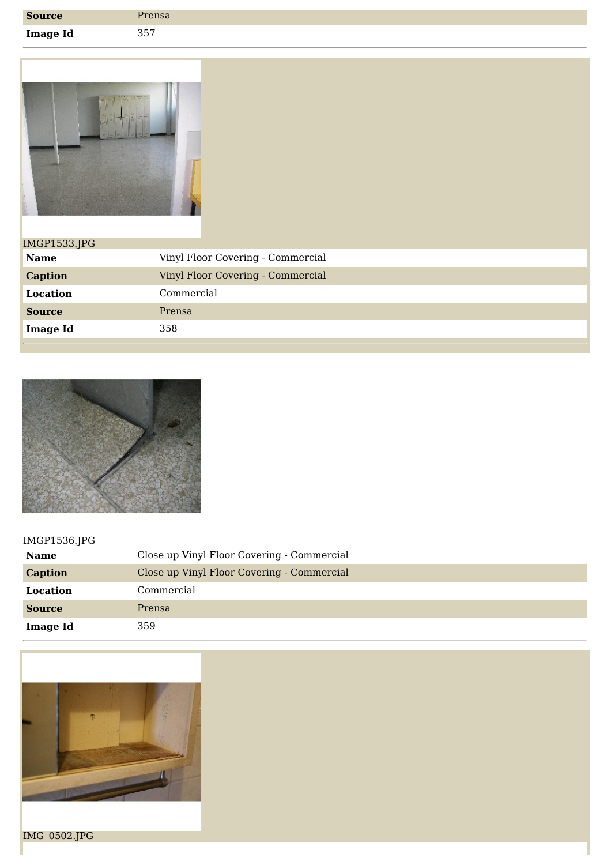| <b>Source</b>   | <b>Prensa</b> |
|-----------------|---------------|
| <b>Image Id</b> | 357           |



| <b>IMGP1533.JPG</b> |                                   |
|---------------------|-----------------------------------|
| <b>Name</b>         | Vinyl Floor Covering - Commercial |
| <b>Caption</b>      | Vinyl Floor Covering - Commercial |
| Location            | Commercial                        |
| <b>Source</b>       | Prensa                            |
| <b>Image Id</b>     | 358                               |
|                     |                                   |



## IMGP1536.JPG

| <b>Name</b>     | Close up Vinyl Floor Covering - Commercial |
|-----------------|--------------------------------------------|
| <b>Caption</b>  | Close up Vinyl Floor Covering - Commercial |
| Location        | Commercial                                 |
| <b>Source</b>   | Prensa                                     |
| <b>Image Id</b> | 359                                        |



IMG\_0502.JPG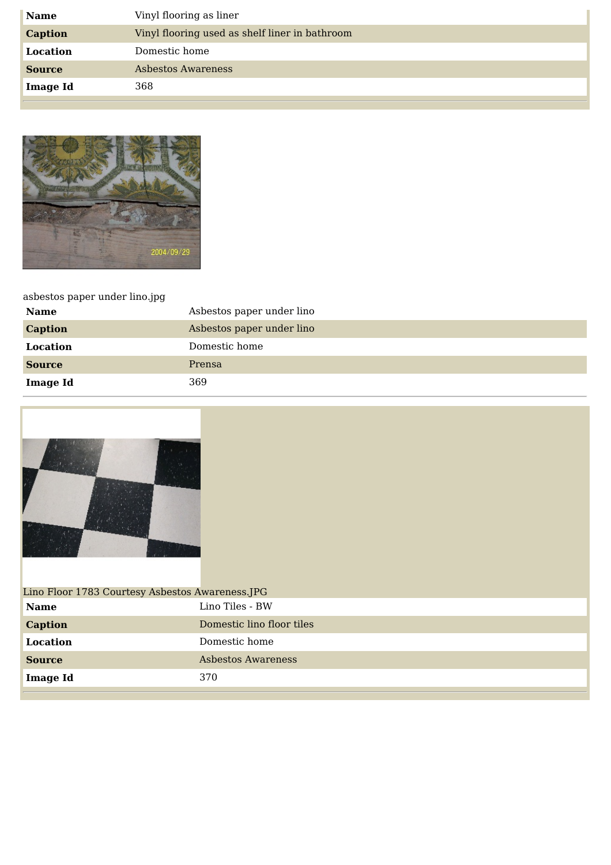| <b>Name</b>     | Vinyl flooring as liner                        |
|-----------------|------------------------------------------------|
| <b>Caption</b>  | Vinyl flooring used as shelf liner in bathroom |
| Location        | Domestic home                                  |
| <b>Source</b>   | Asbestos Awareness                             |
| <b>Image Id</b> | 368                                            |



## asbestos paper under lino.jpg

| <b>Name</b>     | Asbestos paper under lino |
|-----------------|---------------------------|
| <b>Caption</b>  | Asbestos paper under lino |
| Location        | Domestic home             |
| <b>Source</b>   | Prensa                    |
| <b>Image Id</b> | 369                       |



| Lino Floor 1783 Courtesy Asbestos Awareness.JPG |                           |  |
|-------------------------------------------------|---------------------------|--|
| <b>Name</b>                                     | Lino Tiles - BW           |  |
| <b>Caption</b>                                  | Domestic lino floor tiles |  |
| Location                                        | Domestic home             |  |
| <b>Source</b>                                   | Asbestos Awareness        |  |
| <b>Image Id</b>                                 | 370                       |  |
|                                                 |                           |  |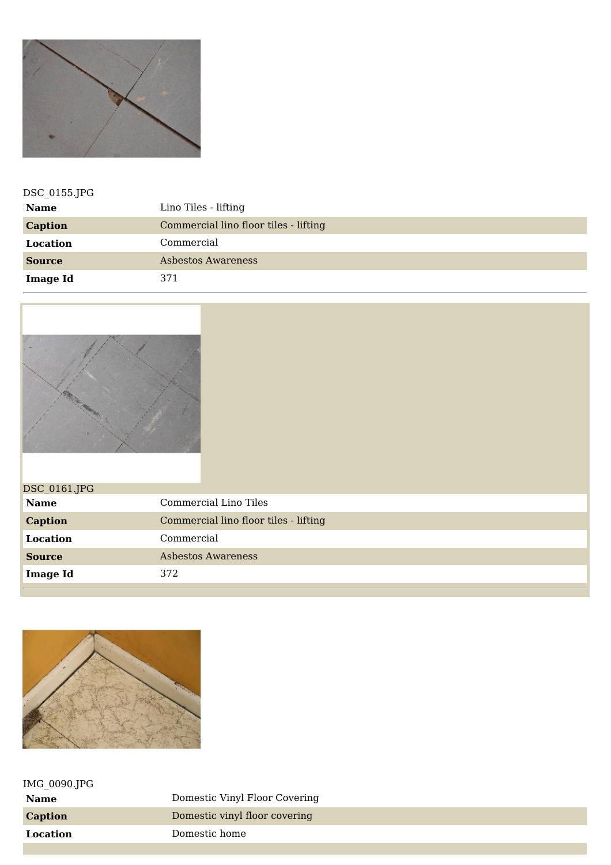

| DSC_0155.JPG    |                                       |  |
|-----------------|---------------------------------------|--|
| <b>Name</b>     | Lino Tiles - lifting                  |  |
| <b>Caption</b>  | Commercial lino floor tiles - lifting |  |
| Location        | Commercial                            |  |
| <b>Source</b>   | Asbestos Awareness                    |  |
| <b>Image Id</b> | 371                                   |  |



| DSC_0161.JPG    |                                       |
|-----------------|---------------------------------------|
| <b>Name</b>     | Commercial Lino Tiles                 |
| <b>Caption</b>  | Commercial lino floor tiles - lifting |
| Location        | Commercial                            |
| <b>Source</b>   | Asbestos Awareness                    |
| <b>Image Id</b> | 372                                   |
|                 |                                       |



| IMG 0090.JPG |                               |
|--------------|-------------------------------|
| Name         | Domestic Vinyl Floor Covering |
| Caption      | Domestic vinyl floor covering |
| Location     | Domestic home                 |